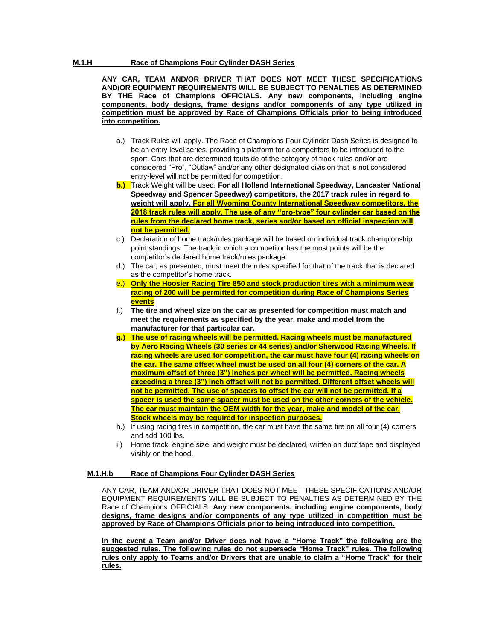## **M.1.H Race of Champions Four Cylinder DASH Series**

**ANY CAR, TEAM AND/OR DRIVER THAT DOES NOT MEET THESE SPECIFICATIONS AND/OR EQUIPMENT REQUIREMENTS WILL BE SUBJECT TO PENALTIES AS DETERMINED BY THE Race of Champions OFFICIALS. Any new components, including engine components, body designs, frame designs and/or components of any type utilized in competition must be approved by Race of Champions Officials prior to being introduced into competition.**

- a.) Track Rules will apply. The Race of Champions Four Cylinder Dash Series is designed to be an entry level series, providing a platform for a competitors to be introduced to the sport. Cars that are determined toutside of the category of track rules and/or are considered "Pro", "Outlaw" and/or any other designated division that is not considered entry-level will not be permitted for competition,
- **b.)** Track Weight will be used. **For all Holland International Speedway, Lancaster National Speedway and Spencer Speedway) competitors, the 2017 track rules in regard to weight will apply. For all Wyoming County International Speedway competitors, the 2018 track rules will apply. The use of any "pro-type" four cylinder car based on the rules from the declared home track, series and/or based on official inspection will not be permitted.**
- c.) Declaration of home track/rules package will be based on individual track championship point standings. The track in which a competitor has the most points will be the competitor's declared home track/rules package.
- d.) The car, as presented, must meet the rules specified for that of the track that is declared as the competitor's home track.
- e.) **Only the Hoosier Racing Tire 850 and stock production tires with a minimum wear racing of 200 will be permitted for competition during Race of Champions Series events**
- f.) **The tire and wheel size on the car as presented for competition must match and meet the requirements as specified by the year, make and model from the manufacturer for that particular car.**
- **g.) The use of racing wheels will be permitted. Racing wheels must be manufactured by Aero Racing Wheels (30 series or 44 series) and/or Sherwood Racing Wheels. If racing wheels are used for competition, the car must have four (4) racing wheels on the car. The same offset wheel must be used on all four (4) corners of the car. A maximum offset of three (3") inches per wheel will be permitted. Racing wheels exceeding a three (3") inch offset will not be permitted. Different offset wheels will not be permitted. The use of spacers to offset the car will not be permitted. If a spacer is used the same spacer must be used on the other corners of the vehicle. The car must maintain the OEM width for the year, make and model of the car. Stock wheels may be required for inspection purposes.**
- h.) If using racing tires in competition, the car must have the same tire on all four (4) corners and add 100 lbs.
- i.) Home track, engine size, and weight must be declared, written on duct tape and displayed visibly on the hood.

### **M.1.H.b Race of Champions Four Cylinder DASH Series**

ANY CAR, TEAM AND/OR DRIVER THAT DOES NOT MEET THESE SPECIFICATIONS AND/OR EQUIPMENT REQUIREMENTS WILL BE SUBJECT TO PENALTIES AS DETERMINED BY THE Race of Champions OFFICIALS. **Any new components, including engine components, body designs, frame designs and/or components of any type utilized in competition must be approved by Race of Champions Officials prior to being introduced into competition.**

**In the event a Team and/or Driver does not have a "Home Track" the following are the suggested rules. The following rules do not supersede "Home Track" rules. The following rules only apply to Teams and/or Drivers that are unable to claim a "Home Track" for their rules.**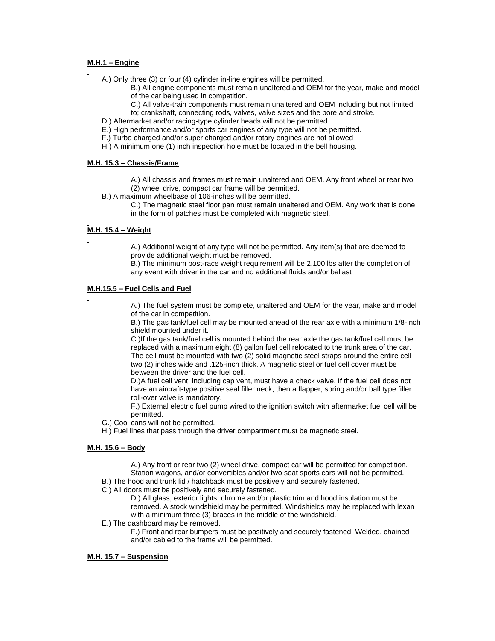## **M.H.1 – Engine**

A.) Only three (3) or four (4) cylinder in-line engines will be permitted.

- B.) All engine components must remain unaltered and OEM for the year, make and model of the car being used in competition.
- C.) All valve-train components must remain unaltered and OEM including but not limited
- to; crankshaft, connecting rods, valves, valve sizes and the bore and stroke.
- D.) Aftermarket and/or racing-type cylinder heads will not be permitted.
- E.) High performance and/or sports car engines of any type will not be permitted.
- F.) Turbo charged and/or super charged and/or rotary engines are not allowed
- H.) A minimum one (1) inch inspection hole must be located in the bell housing.

## **M.H. 15.3 – Chassis/Frame**

- A.) All chassis and frames must remain unaltered and OEM. Any front wheel or rear two (2) wheel drive, compact car frame will be permitted.
- B.) A maximum wheelbase of 106-inches will be permitted.
	- C.) The magnetic steel floor pan must remain unaltered and OEM. Any work that is done in the form of patches must be completed with magnetic steel.

# **M.H. 15.4 – Weight**

A.) Additional weight of any type will not be permitted. Any item(s) that are deemed to provide additional weight must be removed.

B.) The minimum post-race weight requirement will be 2,100 lbs after the completion of any event with driver in the car and no additional fluids and/or ballast

## **M.H.15.5 – Fuel Cells and Fuel**

A.) The fuel system must be complete, unaltered and OEM for the year, make and model of the car in competition.

B.) The gas tank/fuel cell may be mounted ahead of the rear axle with a minimum 1/8-inch shield mounted under it.

C.)If the gas tank/fuel cell is mounted behind the rear axle the gas tank/fuel cell must be replaced with a maximum eight (8) gallon fuel cell relocated to the trunk area of the car. The cell must be mounted with two (2) solid magnetic steel straps around the entire cell two (2) inches wide and .125-inch thick. A magnetic steel or fuel cell cover must be between the driver and the fuel cell.

D.)A fuel cell vent, including cap vent, must have a check valve. If the fuel cell does not have an aircraft-type positive seal filler neck, then a flapper, spring and/or ball type filler roll-over valve is mandatory.

F.) External electric fuel pump wired to the ignition switch with aftermarket fuel cell will be permitted.

- G.) Cool cans will not be permitted.
- H.) Fuel lines that pass through the driver compartment must be magnetic steel.

### **M.H. 15.6 – Body**

A.) Any front or rear two (2) wheel drive, compact car will be permitted for competition. Station wagons, and/or convertibles and/or two seat sports cars will not be permitted.

B.) The hood and trunk lid / hatchback must be positively and securely fastened.

C.) All doors must be positively and securely fastened.

D.) All glass, exterior lights, chrome and/or plastic trim and hood insulation must be removed. A stock windshield may be permitted. Windshields may be replaced with lexan with a minimum three (3) braces in the middle of the windshield.

#### E.) The dashboard may be removed.

F.) Front and rear bumpers must be positively and securely fastened. Welded, chained and/or cabled to the frame will be permitted.

### **M.H. 15.7 – Suspension**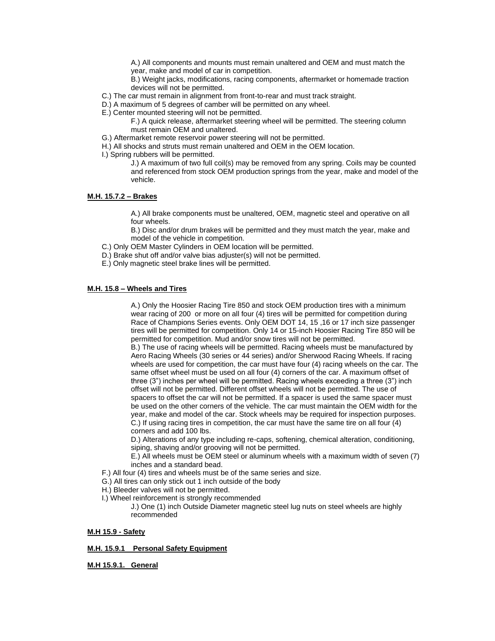A.) All components and mounts must remain unaltered and OEM and must match the year, make and model of car in competition.

B.) Weight jacks, modifications, racing components, aftermarket or homemade traction devices will not be permitted.

- C.) The car must remain in alignment from front-to-rear and must track straight.
- D.) A maximum of 5 degrees of camber will be permitted on any wheel.
- E.) Center mounted steering will not be permitted.

F.) A quick release, aftermarket steering wheel will be permitted. The steering column must remain OEM and unaltered.

- G.) Aftermarket remote reservoir power steering will not be permitted.
- H.) All shocks and struts must remain unaltered and OEM in the OEM location.
- I.) Spring rubbers will be permitted.

J.) A maximum of two full coil(s) may be removed from any spring. Coils may be counted and referenced from stock OEM production springs from the year, make and model of the vehicle.

# **M.H. 15.7.2 – Brakes**

A.) All brake components must be unaltered, OEM, magnetic steel and operative on all four wheels.

B.) Disc and/or drum brakes will be permitted and they must match the year, make and model of the vehicle in competition.

- C.) Only OEM Master Cylinders in OEM location will be permitted.
- D.) Brake shut off and/or valve bias adjuster(s) will not be permitted.
- E.) Only magnetic steel brake lines will be permitted.

## **M.H. 15.8 – Wheels and Tires**

A.) Only the Hoosier Racing Tire 850 and stock OEM production tires with a minimum wear racing of 200 or more on all four (4) tires will be permitted for competition during Race of Champions Series events. Only OEM DOT 14, 15 ,16 or 17 inch size passenger tires will be permitted for competition. Only 14 or 15-inch Hoosier Racing Tire 850 will be permitted for competition. Mud and/or snow tires will not be permitted.

B.) The use of racing wheels will be permitted. Racing wheels must be manufactured by Aero Racing Wheels (30 series or 44 series) and/or Sherwood Racing Wheels. If racing wheels are used for competition, the car must have four (4) racing wheels on the car. The same offset wheel must be used on all four (4) corners of the car. A maximum offset of three (3") inches per wheel will be permitted. Racing wheels exceeding a three (3") inch offset will not be permitted. Different offset wheels will not be permitted. The use of spacers to offset the car will not be permitted. If a spacer is used the same spacer must be used on the other corners of the vehicle. The car must maintain the OEM width for the year, make and model of the car. Stock wheels may be required for inspection purposes. C.) If using racing tires in competition, the car must have the same tire on all four (4) corners and add 100 lbs.

D.) Alterations of any type including re-caps, softening, chemical alteration, conditioning, siping, shaving and/or grooving will not be permitted.

E.) All wheels must be OEM steel or aluminum wheels with a maximum width of seven (7) inches and a standard bead.

- F.) All four (4) tires and wheels must be of the same series and size.
- G.) All tires can only stick out 1 inch outside of the body
- H.) Bleeder valves will not be permitted.
- I.) Wheel reinforcement is strongly recommended

J.) One (1) inch Outside Diameter magnetic steel lug nuts on steel wheels are highly recommended

#### **M.H 15.9 - Safety**

### **M.H. 15.9.1 Personal Safety Equipment**

**M.H 15.9.1. General**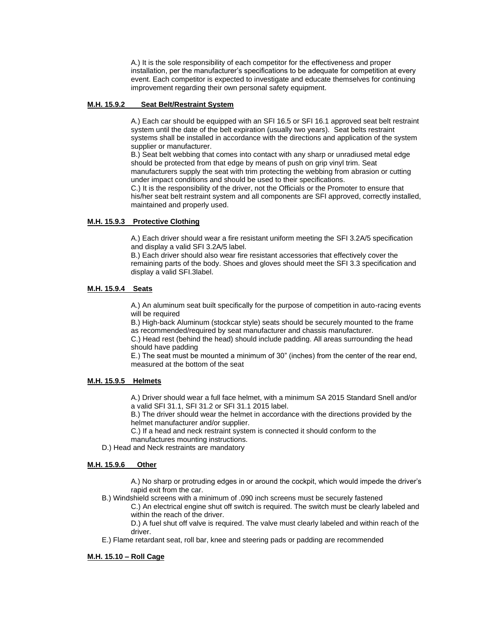A.) It is the sole responsibility of each competitor for the effectiveness and proper installation, per the manufacturer's specifications to be adequate for competition at every event. Each competitor is expected to investigate and educate themselves for continuing improvement regarding their own personal safety equipment.

#### **M.H. 15.9.2 Seat Belt/Restraint System**

A.) Each car should be equipped with an SFI 16.5 or SFI 16.1 approved seat belt restraint system until the date of the belt expiration (usually two years). Seat belts restraint systems shall be installed in accordance with the directions and application of the system supplier or manufacturer.

B.) Seat belt webbing that comes into contact with any sharp or unradiused metal edge should be protected from that edge by means of push on grip vinyl trim. Seat manufacturers supply the seat with trim protecting the webbing from abrasion or cutting under impact conditions and should be used to their specifications.

C.) It is the responsibility of the driver, not the Officials or the Promoter to ensure that his/her seat belt restraint system and all components are SFI approved, correctly installed, maintained and properly used.

#### **M.H. 15.9.3 Protective Clothing**

A.) Each driver should wear a fire resistant uniform meeting the SFI 3.2A/5 specification and display a valid SFI 3.2A/5 label.

B.) Each driver should also wear fire resistant accessories that effectively cover the remaining parts of the body. Shoes and gloves should meet the SFI 3.3 specification and display a valid SFI.3label.

### **M.H. 15.9.4 Seats**

A.) An aluminum seat built specifically for the purpose of competition in auto-racing events will be required

B.) High-back Aluminum (stockcar style) seats should be securely mounted to the frame as recommended/required by seat manufacturer and chassis manufacturer.

C.) Head rest (behind the head) should include padding. All areas surrounding the head should have padding

E.) The seat must be mounted a minimum of 30" (inches) from the center of the rear end, measured at the bottom of the seat

### **M.H. 15.9.5 Helmets**

A.) Driver should wear a full face helmet, with a minimum SA 2015 Standard Snell and/or a valid SFI 31.1, SFI 31.2 or SFI 31.1 2015 label.

B.) The driver should wear the helmet in accordance with the directions provided by the helmet manufacturer and/or supplier.

C.) If a head and neck restraint system is connected it should conform to the manufactures mounting instructions.

D.) Head and Neck restraints are mandatory

#### **M.H. 15.9.6 Other**

A.) No sharp or protruding edges in or around the cockpit, which would impede the driver's rapid exit from the car.

B.) Windshield screens with a minimum of .090 inch screens must be securely fastened

C.) An electrical engine shut off switch is required. The switch must be clearly labeled and within the reach of the driver.

D.) A fuel shut off valve is required. The valve must clearly labeled and within reach of the driver.

E.) Flame retardant seat, roll bar, knee and steering pads or padding are recommended

### **M.H. 15.10 – Roll Cage**